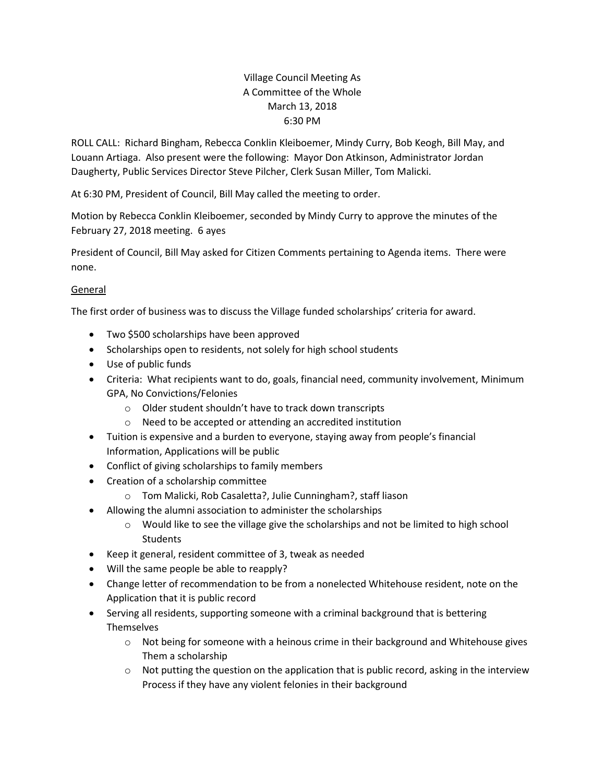## Village Council Meeting As A Committee of the Whole March 13, 2018 6:30 PM

ROLL CALL: Richard Bingham, Rebecca Conklin Kleiboemer, Mindy Curry, Bob Keogh, Bill May, and Louann Artiaga. Also present were the following: Mayor Don Atkinson, Administrator Jordan Daugherty, Public Services Director Steve Pilcher, Clerk Susan Miller, Tom Malicki.

At 6:30 PM, President of Council, Bill May called the meeting to order.

Motion by Rebecca Conklin Kleiboemer, seconded by Mindy Curry to approve the minutes of the February 27, 2018 meeting. 6 ayes

President of Council, Bill May asked for Citizen Comments pertaining to Agenda items. There were none.

## General

The first order of business was to discuss the Village funded scholarships' criteria for award.

- Two \$500 scholarships have been approved
- Scholarships open to residents, not solely for high school students
- Use of public funds
- Criteria: What recipients want to do, goals, financial need, community involvement, Minimum GPA, No Convictions/Felonies
	- o Older student shouldn't have to track down transcripts
	- o Need to be accepted or attending an accredited institution
- Tuition is expensive and a burden to everyone, staying away from people's financial Information, Applications will be public
- Conflict of giving scholarships to family members
- Creation of a scholarship committee
	- o Tom Malicki, Rob Casaletta?, Julie Cunningham?, staff liason
- Allowing the alumni association to administer the scholarships
	- $\circ$  Would like to see the village give the scholarships and not be limited to high school **Students**
- Keep it general, resident committee of 3, tweak as needed
- Will the same people be able to reapply?
- Change letter of recommendation to be from a nonelected Whitehouse resident, note on the Application that it is public record
- Serving all residents, supporting someone with a criminal background that is bettering **Themselves** 
	- $\circ$  Not being for someone with a heinous crime in their background and Whitehouse gives Them a scholarship
	- $\circ$  Not putting the question on the application that is public record, asking in the interview Process if they have any violent felonies in their background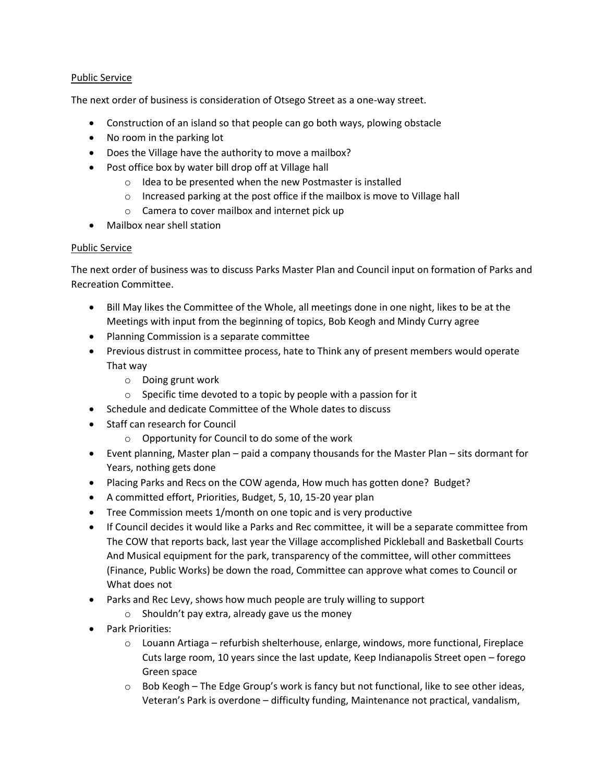## Public Service

The next order of business is consideration of Otsego Street as a one-way street.

- Construction of an island so that people can go both ways, plowing obstacle
- No room in the parking lot
- Does the Village have the authority to move a mailbox?
- Post office box by water bill drop off at Village hall
	- o Idea to be presented when the new Postmaster is installed
	- o Increased parking at the post office if the mailbox is move to Village hall
	- o Camera to cover mailbox and internet pick up
- Mailbox near shell station

## Public Service

The next order of business was to discuss Parks Master Plan and Council input on formation of Parks and Recreation Committee.

- Bill May likes the Committee of the Whole, all meetings done in one night, likes to be at the Meetings with input from the beginning of topics, Bob Keogh and Mindy Curry agree
- Planning Commission is a separate committee
- Previous distrust in committee process, hate to Think any of present members would operate That way
	- o Doing grunt work
	- $\circ$  Specific time devoted to a topic by people with a passion for it
- Schedule and dedicate Committee of the Whole dates to discuss
- Staff can research for Council
	- o Opportunity for Council to do some of the work
- Event planning, Master plan paid a company thousands for the Master Plan sits dormant for Years, nothing gets done
- Placing Parks and Recs on the COW agenda, How much has gotten done? Budget?
- A committed effort, Priorities, Budget, 5, 10, 15-20 year plan
- Tree Commission meets 1/month on one topic and is very productive
- If Council decides it would like a Parks and Rec committee, it will be a separate committee from The COW that reports back, last year the Village accomplished Pickleball and Basketball Courts And Musical equipment for the park, transparency of the committee, will other committees (Finance, Public Works) be down the road, Committee can approve what comes to Council or What does not
- Parks and Rec Levy, shows how much people are truly willing to support
	- o Shouldn't pay extra, already gave us the money
- Park Priorities:
	- $\circ$  Louann Artiaga refurbish shelterhouse, enlarge, windows, more functional, Fireplace Cuts large room, 10 years since the last update, Keep Indianapolis Street open – forego Green space
	- $\circ$  Bob Keogh The Edge Group's work is fancy but not functional, like to see other ideas, Veteran's Park is overdone – difficulty funding, Maintenance not practical, vandalism,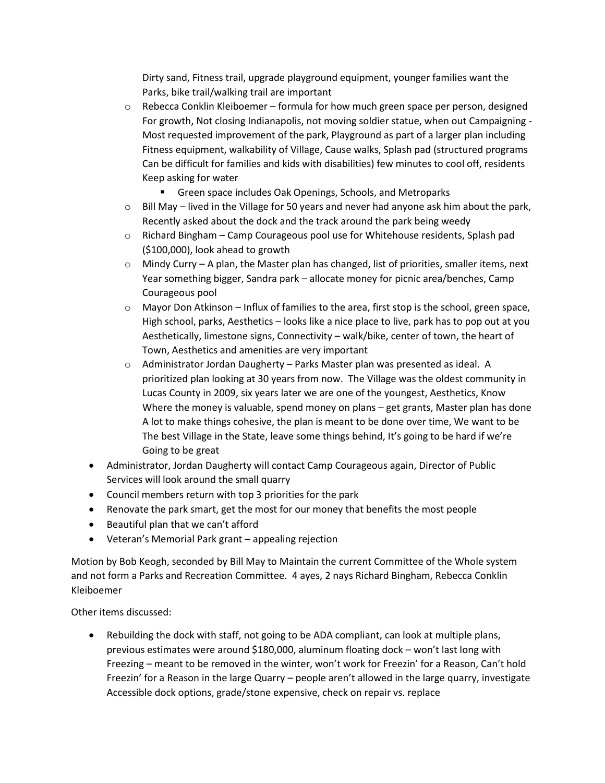Dirty sand, Fitness trail, upgrade playground equipment, younger families want the Parks, bike trail/walking trail are important

- $\circ$  Rebecca Conklin Kleiboemer formula for how much green space per person, designed For growth, Not closing Indianapolis, not moving soldier statue, when out Campaigning - Most requested improvement of the park, Playground as part of a larger plan including Fitness equipment, walkability of Village, Cause walks, Splash pad (structured programs Can be difficult for families and kids with disabilities) few minutes to cool off, residents Keep asking for water
	- Green space includes Oak Openings, Schools, and Metroparks
- $\circ$  Bill May lived in the Village for 50 years and never had anyone ask him about the park, Recently asked about the dock and the track around the park being weedy
- $\circ$  Richard Bingham Camp Courageous pool use for Whitehouse residents, Splash pad (\$100,000), look ahead to growth
- $\circ$  Mindy Curry A plan, the Master plan has changed, list of priorities, smaller items, next Year something bigger, Sandra park – allocate money for picnic area/benches, Camp Courageous pool
- $\circ$  Mayor Don Atkinson Influx of families to the area, first stop is the school, green space, High school, parks, Aesthetics – looks like a nice place to live, park has to pop out at you Aesthetically, limestone signs, Connectivity – walk/bike, center of town, the heart of Town, Aesthetics and amenities are very important
- o Administrator Jordan Daugherty Parks Master plan was presented as ideal. A prioritized plan looking at 30 years from now. The Village was the oldest community in Lucas County in 2009, six years later we are one of the youngest, Aesthetics, Know Where the money is valuable, spend money on plans – get grants, Master plan has done A lot to make things cohesive, the plan is meant to be done over time, We want to be The best Village in the State, leave some things behind, It's going to be hard if we're Going to be great
- Administrator, Jordan Daugherty will contact Camp Courageous again, Director of Public Services will look around the small quarry
- Council members return with top 3 priorities for the park
- Renovate the park smart, get the most for our money that benefits the most people
- Beautiful plan that we can't afford
- Veteran's Memorial Park grant appealing rejection

Motion by Bob Keogh, seconded by Bill May to Maintain the current Committee of the Whole system and not form a Parks and Recreation Committee. 4 ayes, 2 nays Richard Bingham, Rebecca Conklin Kleiboemer

Other items discussed:

 Rebuilding the dock with staff, not going to be ADA compliant, can look at multiple plans, previous estimates were around \$180,000, aluminum floating dock – won't last long with Freezing – meant to be removed in the winter, won't work for Freezin' for a Reason, Can't hold Freezin' for a Reason in the large Quarry – people aren't allowed in the large quarry, investigate Accessible dock options, grade/stone expensive, check on repair vs. replace